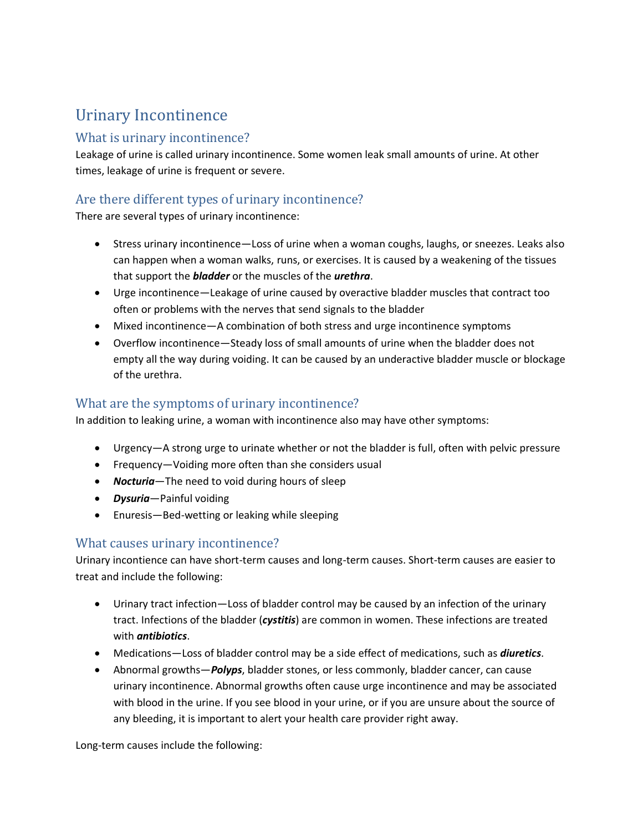# Urinary Incontinence

#### What is urinary incontinence?

Leakage of urine is called urinary incontinence. Some women leak small amounts of urine. At other times, leakage of urine is frequent or severe.

## Are there different types of urinary incontinence?

There are several types of urinary incontinence:

- Stress urinary incontinence—Loss of urine when a woman coughs, laughs, or sneezes. Leaks also can happen when a woman walks, runs, or exercises. It is caused by a weakening of the tissues that support the *bladder* or the muscles of the *urethra*.
- Urge incontinence—Leakage of urine caused by overactive bladder muscles that contract too often or problems with the nerves that send signals to the bladder
- Mixed incontinence—A combination of both stress and urge incontinence symptoms
- Overflow incontinence—Steady loss of small amounts of urine when the bladder does not empty all the way during voiding. It can be caused by an underactive bladder muscle or blockage of the urethra.

## What are the symptoms of urinary incontinence?

In addition to leaking urine, a woman with incontinence also may have other symptoms:

- Urgency—A strong urge to urinate whether or not the bladder is full, often with pelvic pressure
- Frequency—Voiding more often than she considers usual
- *Nocturia*—The need to void during hours of sleep
- *Dysuria*—Painful voiding
- Enuresis—Bed-wetting or leaking while sleeping

### What causes urinary incontinence?

Urinary incontience can have short-term causes and long-term causes. Short-term causes are easier to treat and include the following:

- Urinary tract infection—Loss of bladder control may be caused by an infection of the urinary tract. Infections of the bladder (*cystitis*) are common in women. These infections are treated with *antibiotics*.
- Medications—Loss of bladder control may be a side effect of medications, such as *diuretics*.
- Abnormal growths—*Polyps*, bladder stones, or less commonly, bladder cancer, can cause urinary incontinence. Abnormal growths often cause urge incontinence and may be associated with blood in the urine. If you see blood in your urine, or if you are unsure about the source of any bleeding, it is important to alert your health care provider right away.

Long-term causes include the following: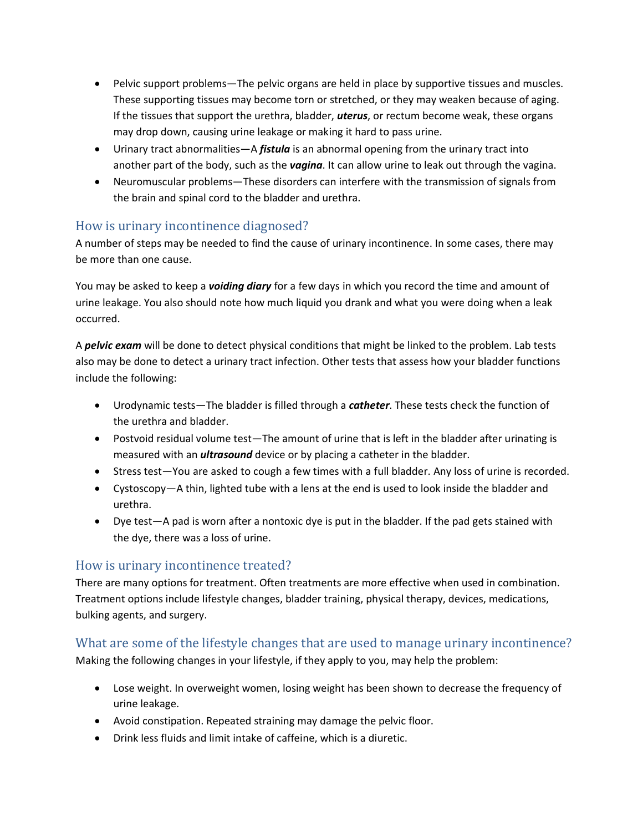- Pelvic support problems—The pelvic organs are held in place by supportive tissues and muscles. These supporting tissues may become torn or stretched, or they may weaken because of aging. If the tissues that support the urethra, bladder, *uterus*, or rectum become weak, these organs may drop down, causing urine leakage or making it hard to pass urine.
- Urinary tract abnormalities—A *fistula* is an abnormal opening from the urinary tract into another part of the body, such as the *vagina*. It can allow urine to leak out through the vagina.
- Neuromuscular problems—These disorders can interfere with the transmission of signals from the brain and spinal cord to the bladder and urethra.

### How is urinary incontinence diagnosed?

A number of steps may be needed to find the cause of urinary incontinence. In some cases, there may be more than one cause.

You may be asked to keep a *voiding diary* for a few days in which you record the time and amount of urine leakage. You also should note how much liquid you drank and what you were doing when a leak occurred.

A *pelvic exam* will be done to detect physical conditions that might be linked to the problem. Lab tests also may be done to detect a urinary tract infection. Other tests that assess how your bladder functions include the following:

- Urodynamic tests—The bladder is filled through a *catheter*. These tests check the function of the urethra and bladder.
- Postvoid residual volume test—The amount of urine that is left in the bladder after urinating is measured with an *ultrasound* device or by placing a catheter in the bladder.
- Stress test—You are asked to cough a few times with a full bladder. Any loss of urine is recorded.
- Cystoscopy—A thin, lighted tube with a lens at the end is used to look inside the bladder and urethra.
- Dye test—A pad is worn after a nontoxic dye is put in the bladder. If the pad gets stained with the dye, there was a loss of urine.

### How is urinary incontinence treated?

There are many options for treatment. Often treatments are more effective when used in combination. Treatment options include lifestyle changes, bladder training, physical therapy, devices, medications, bulking agents, and surgery.

### What are some of the lifestyle changes that are used to manage urinary incontinence?

Making the following changes in your lifestyle, if they apply to you, may help the problem:

- Lose weight. In overweight women, losing weight has been shown to decrease the frequency of urine leakage.
- Avoid constipation. Repeated straining may damage the pelvic floor.
- Drink less fluids and limit intake of caffeine, which is a diuretic.